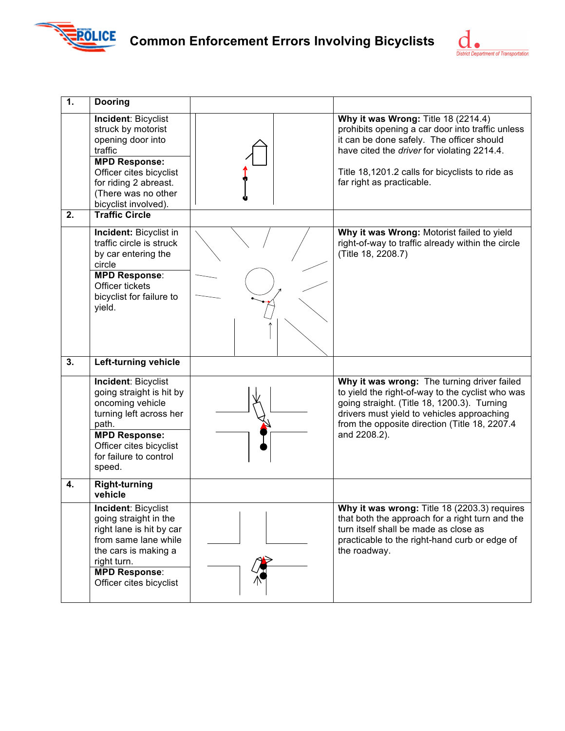

## **Common Enforcement Errors Involving Bicyclists**



| $\overline{1}$ . | <b>Dooring</b>                                                                                                                                                                                       |                                                                                                                                                                                                                                                                     |
|------------------|------------------------------------------------------------------------------------------------------------------------------------------------------------------------------------------------------|---------------------------------------------------------------------------------------------------------------------------------------------------------------------------------------------------------------------------------------------------------------------|
|                  | Incident: Bicyclist<br>struck by motorist<br>opening door into<br>traffic<br><b>MPD Response:</b><br>Officer cites bicyclist<br>for riding 2 abreast.<br>(There was no other<br>bicyclist involved). | Why it was Wrong: Title 18 (2214.4)<br>prohibits opening a car door into traffic unless<br>it can be done safely. The officer should<br>have cited the driver for violating 2214.4.<br>Title 18,1201.2 calls for bicyclists to ride as<br>far right as practicable. |
| 2.               | <b>Traffic Circle</b>                                                                                                                                                                                |                                                                                                                                                                                                                                                                     |
|                  | Incident: Bicyclist in<br>traffic circle is struck<br>by car entering the<br>circle<br><b>MPD Response:</b><br>Officer tickets<br>bicyclist for failure to<br>yield.                                 | Why it was Wrong: Motorist failed to yield<br>right-of-way to traffic already within the circle<br>(Title 18, 2208.7)                                                                                                                                               |
| 3.               | Left-turning vehicle                                                                                                                                                                                 |                                                                                                                                                                                                                                                                     |
|                  | Incident: Bicyclist<br>going straight is hit by<br>oncoming vehicle<br>turning left across her<br>path.<br><b>MPD Response:</b><br>Officer cites bicyclist<br>for failure to control<br>speed.       | Why it was wrong: The turning driver failed<br>to yield the right-of-way to the cyclist who was<br>going straight. (Title 18, 1200.3). Turning<br>drivers must yield to vehicles approaching<br>from the opposite direction (Title 18, 2207.4)<br>and 2208.2).      |
| 4.               | <b>Right-turning</b><br>vehicle                                                                                                                                                                      |                                                                                                                                                                                                                                                                     |
|                  | <b>Incident: Bicyclist</b><br>going straight in the<br>right lane is hit by car<br>from same lane while<br>the cars is making a<br>right turn.<br><b>MPD Response:</b><br>Officer cites bicyclist    | Why it was wrong: Title 18 (2203.3) requires<br>that both the approach for a right turn and the<br>turn itself shall be made as close as<br>practicable to the right-hand curb or edge of<br>the roadway.                                                           |